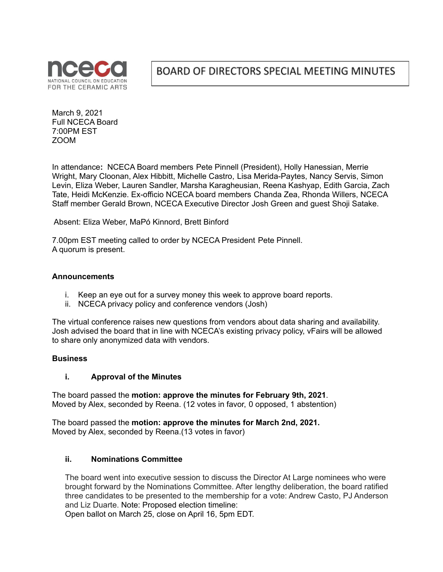

# BOARD OF DIRECTORS SPECIAL MEETING MINUTES

March 9, 2021 Full NCECA Board 7:00PM EST ZOOM

In attendance**:** NCECA Board members Pete Pinnell (President), Holly Hanessian, Merrie Wright, Mary Cloonan, Alex Hibbitt, Michelle Castro, Lisa Merida-Paytes, Nancy Servis, Simon Levin, Eliza Weber, Lauren Sandler, Marsha Karagheusian, Reena Kashyap, Edith Garcia, Zach Tate, Heidi McKenzie. Ex-officio NCECA board members Chanda Zea, Rhonda Willers, NCECA Staff member Gerald Brown, NCECA Executive Director Josh Green and guest Shoji Satake.

Absent: Eliza Weber, MaPó Kinnord, Brett Binford

7.00pm EST meeting called to order by NCECA President Pete Pinnell. A quorum is present.

#### **Announcements**

- i. Keep an eye out for a survey money this week to approve board reports.
- ii. NCECA privacy policy and conference vendors (Josh)

The virtual conference raises new questions from vendors about data sharing and availability. Josh advised the board that in line with NCECA's existing privacy policy, vFairs will be allowed to share only anonymized data with vendors.

#### **Business**

#### **i. Approval of the Minutes**

The board passed the **motion: approve the minutes for February 9th, 2021**. Moved by Alex, seconded by Reena. (12 votes in favor, 0 opposed, 1 abstention)

The board passed the **motion: approve the minutes for March 2nd, 2021.** Moved by Alex, seconded by Reena.(13 votes in favor)

#### **ii. Nominations Committee**

The board went into executive session to discuss the Director At Large nominees who were brought forward by the Nominations Committee. After lengthy deliberation, the board ratified three candidates to be presented to the membership for a vote: Andrew Casto, PJ Anderson and Liz Duarte. Note: Proposed election timeline:

Open ballot on March 25, close on April 16, 5pm EDT.